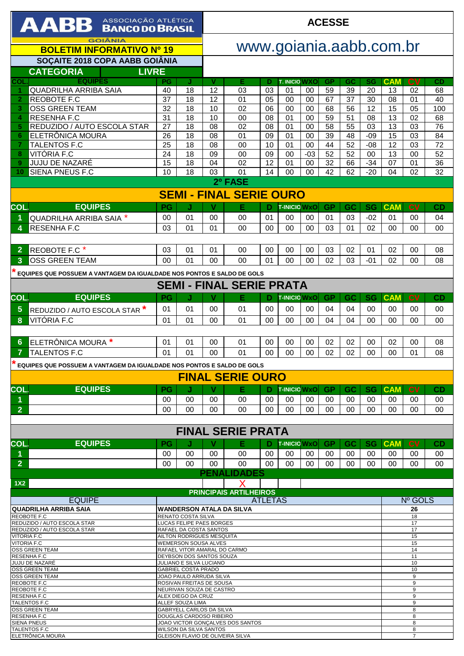| AABB ASSOCIAÇÃO ATLÉTICA                                                                       |                                                                      |                                                     |          | <b>ACESSE</b>                           |                |                      |             |           |           |                 |            |                     |          |
|------------------------------------------------------------------------------------------------|----------------------------------------------------------------------|-----------------------------------------------------|----------|-----------------------------------------|----------------|----------------------|-------------|-----------|-----------|-----------------|------------|---------------------|----------|
| <b>GOIÂNIA</b><br><b>BOLETIM INFORMATIVO Nº 19</b>                                             |                                                                      |                                                     |          | www.goiania.aabb.com.br                 |                |                      |             |           |           |                 |            |                     |          |
| <b>SOCAITE 2018 COPA AABB GOIÂNIA</b>                                                          |                                                                      |                                                     |          |                                         |                |                      |             |           |           |                 |            |                     |          |
| <b>LIVRE</b><br><b>CATEGORIA</b>                                                               |                                                                      |                                                     |          |                                         |                |                      |             |           |           |                 |            |                     |          |
| <b>EQUIPES</b><br>COL                                                                          | PG                                                                   | J                                                   | v        | Е                                       | Ð              | <b>T. INICIO WXO</b> |             | <b>GP</b> | GC        | SG              | <b>CAM</b> | <b>CV</b>           | CD       |
| <b>QUADRILHA ARRIBA SAIA</b><br>$\blacktriangleleft$<br>REOBOTE F.C<br>$\overline{\mathbf{2}}$ | 40<br>37                                                             | 18<br>18                                            | 12<br>12 | 03<br>01                                | 03<br>05       | 01<br>00             | 00<br>00    | 59<br>67  | 39<br>37  | 20<br>30        | 13<br>08   | 02<br>01            | 68<br>40 |
| <b>OSS GREEN TEAM</b><br>3                                                                     | 32                                                                   | 18                                                  | 10       | 02                                      | 06             | 00                   | 00          | 68        | 56        | 12              | 15         | 05                  | 100      |
| <b>RESENHA F.C</b><br>4                                                                        | 31                                                                   | 18                                                  | 10       | 00                                      | 08             | 01                   | 00          | 59        | 51        | 08              | 13         | 02                  | 68       |
| REDUZIDO / AUTO ESCOLA STAR<br>5                                                               | 27                                                                   | 18                                                  | 08       | 02                                      | 08             | 01                   | 00          | 58        | 55        | 03              | 13         | 03                  | 76       |
| ELETRÔNICA MOURA<br>6                                                                          | 26                                                                   | 18                                                  | 08       | 01                                      | 09             | 01                   | 00          | 39        | 48        | $-09$           | 15         | 03                  | 84       |
| <b>TALENTOS F.C</b><br>7                                                                       | 25                                                                   | 18                                                  | 08       | 00                                      | 10             | 01                   | 00          | 44        | 52        | $-08$           | 12         | 03                  | 72       |
| VITÓRIA F.C<br>8                                                                               | 24                                                                   | 18<br>18                                            | 09<br>04 | 00<br>02                                | 09<br>12       | 00                   | $-03$<br>00 | 52<br>32  | 52        | 00              | 13<br>07   | 00                  | 52       |
| JUJU DE NAZARÉ<br>9<br><b>SIENA PNEUS F.C</b><br>10                                            | 15<br>10                                                             | 18                                                  | 03       | 01                                      | 14             | 01<br>00             | 00          | 42        | 66<br>62  | $-34$<br>$-20$  | 04         | 01<br>02            | 36<br>32 |
|                                                                                                |                                                                      |                                                     |          | 2º FASE                                 |                |                      |             |           |           |                 |            |                     |          |
| <b>SEMI - FINAL SERIE OURO</b>                                                                 |                                                                      |                                                     |          |                                         |                |                      |             |           |           |                 |            |                     |          |
| <b>EQUIPES</b><br>COL.                                                                         | PG                                                                   | J                                                   | v        | Е                                       | D              | <b>T-INICIO WxO</b>  |             | <b>GP</b> | GC        | <b>SG</b>       | <b>CAM</b> | <b>CV</b>           | CD       |
| QUADRILHA ARRIBA SAIA *<br>1                                                                   | 00                                                                   | 01                                                  | 00       | 00                                      | 01             | 00                   | 00          | 01        | 03        | $-02$           | 01         | 00                  | 04       |
| <b>RESENHAF.C</b><br>4                                                                         | 03                                                                   | 01                                                  | 01       | 00                                      | 00             | 00                   | $00\,$      | 03        | 01        | 02              | $00\,$     | 00                  | 00       |
|                                                                                                |                                                                      |                                                     |          |                                         |                |                      |             |           |           |                 |            |                     |          |
| REOBOTE F.C*<br>$\overline{2}$                                                                 | 03                                                                   | 01                                                  | 01       | 00                                      | 00             | 00                   | 00          | 03        | 02        | 01              | 02         | 00                  | 08       |
| <b>OSS GREEN TEAM</b><br>3                                                                     | 00                                                                   | 01                                                  | 00       | $00 \,$                                 | 01             | 00                   | $00\,$      | 02        | 03        | $-01$           | 02         | 00                  | 08       |
| EQUIPES QUE POSSUEM A VANTAGEM DA IGUALDADE NOS PONTOS E SALDO DE GOLS                         |                                                                      |                                                     |          |                                         |                |                      |             |           |           |                 |            |                     |          |
|                                                                                                |                                                                      |                                                     |          | <b>SEMI - FINAL SERIE PRATA</b>         |                |                      |             |           |           |                 |            |                     |          |
| <b>COL</b><br><b>EQUIPES</b>                                                                   | PG                                                                   | J                                                   | V        | Е                                       |                | <b>T-INICIO WXO</b>  |             | <b>GP</b> | <b>GC</b> | <b>SG</b>       | <b>CAM</b> | <b>CV</b>           | CD       |
| $5\phantom{1}$<br>REDUZIDO / AUTO ESCOLA STAR <sup>*</sup>                                     | 01                                                                   | 01                                                  | 00       | 01                                      | 00             | 00                   | 00          | 04        | 04        | 00              | 00         | 00                  | 00       |
| VITÓRIA F.C                                                                                    | 01                                                                   | 0 <sub>1</sub>                                      |          | 01                                      | 00             |                      | 00          | 04        |           |                 | 00         |                     |          |
| 8                                                                                              |                                                                      |                                                     | 00       |                                         |                | 00                   |             |           | 04        | 00              |            | 00                  | 00       |
| 6<br>ELETRÔNICA MOURA *                                                                        | 01                                                                   | 01                                                  | 00       | 01                                      | 00             | 00                   | 00          | 02        | 02        | 00              | 02         | 00                  | 08       |
| <b>TALENTOS F.C</b><br>7                                                                       | 01                                                                   | 0 <sub>1</sub>                                      | 00       | 01                                      | 00             | 00                   | 00          | 02        | 02        | 00              | $00\,$     | 01                  | 08       |
|                                                                                                |                                                                      |                                                     |          |                                         |                |                      |             |           |           |                 |            |                     |          |
| $\star$ EQUIPES QUE POSSUEM A VANTAGEM DA IGUALDADE NOS PONTOS E SALDO DE GOLS                 |                                                                      |                                                     |          | <b>FINAL SERIE OURO</b>                 |                |                      |             |           |           |                 |            |                     |          |
|                                                                                                |                                                                      |                                                     |          |                                         |                |                      |             |           |           |                 |            |                     |          |
| <b>EQUIPES</b><br><b>COL</b><br>1                                                              | <b>PG</b>                                                            | 00                                                  | v        | Е                                       | D<br>00        | <b>T-INICIO WxO</b>  |             | <b>GP</b> | <b>GC</b> | <b>SG</b><br>00 | <b>CAM</b> | <b>CV</b><br>00     | CD       |
| $\overline{2}$                                                                                 | 00<br>00                                                             | 00                                                  | 00<br>00 | 00<br>00                                | 00             | 00<br>00             | 00<br>00    | 00<br>00  | 00<br>00  | 00              | 00<br>00   | 00                  | 00<br>00 |
|                                                                                                |                                                                      |                                                     |          |                                         |                |                      |             |           |           |                 |            |                     |          |
|                                                                                                |                                                                      |                                                     |          | <b>FINAL SERIE PRATA</b>                |                |                      |             |           |           |                 |            |                     |          |
| <b>COL</b><br><b>EQUIPES</b>                                                                   | PG                                                                   | J                                                   | v        | Е                                       | D              | <b>T-INICIO WXO</b>  |             | <b>GP</b> | <b>GC</b> | <b>SG</b>       | <b>CAM</b> | c <sub>V</sub>      | CD       |
| 1                                                                                              | 00                                                                   | 00                                                  | 00       | 00                                      | 00             | 00                   | 00          | 00        | 00        | 00              | 00         | 00                  | 00       |
| $\overline{2}$                                                                                 | 00                                                                   | 00                                                  | 00       | 00                                      | 00             | 00                   | 00          | 00        | 00        | 00              | 00         | 00                  | 00       |
|                                                                                                |                                                                      |                                                     |          | <b>PENALIDADES</b>                      |                |                      |             |           |           |                 |            |                     |          |
| 1X <sub>2</sub>                                                                                |                                                                      |                                                     |          |                                         |                |                      |             |           |           |                 |            |                     |          |
| <b>EQUIPE</b>                                                                                  |                                                                      |                                                     |          | <b>PRINCIPAIS ARTILHEIROS</b>           | <b>ATLETAS</b> |                      |             |           |           |                 |            | Nº GOLS             |          |
| <b>QUADRILHA ARRIBA SAIA</b>                                                                   |                                                                      |                                                     |          | <b>WANDERSON ATALA DA SILVA</b>         |                |                      |             |           |           |                 |            | 26                  |          |
| <b>REOBOTE F.C</b><br>REDUZIDO / AUTO ESCOLA STAR                                              | RENATO COSTA SILVA<br>18                                             |                                                     |          |                                         |                |                      |             |           |           |                 |            |                     |          |
| REDUZIDO / AUTO ESCOLA STAR                                                                    | LUCAS FELIPE PAES BORGES<br>17<br>RAFAEL DA COSTA SANTOS<br>17       |                                                     |          |                                         |                |                      |             |           |           |                 |            |                     |          |
| <b>VITORIA F.C</b><br><b>VITORIA F.C</b>                                                       | AILTON RODRIGUES MESQUITA<br>15<br><b>WEMERSON SOUSA ALVES</b><br>15 |                                                     |          |                                         |                |                      |             |           |           |                 |            |                     |          |
| <b>OSS GREEN TEAM</b>                                                                          | RAFAEL VITOR AMARAL DO CARMO<br>14                                   |                                                     |          |                                         |                |                      |             |           |           |                 |            |                     |          |
| <b>RESENHA F.C</b><br>JUJU DE NAZARÉ                                                           |                                                                      | DEYBSON DOS SANTOS SOUZA<br>JULIANO E SILVA LUCIANO |          |                                         |                |                      |             |           |           |                 |            | 11<br>10            |          |
| <b>OSS GREEN TEAM</b>                                                                          |                                                                      | <b>GABRIEL COSTA PRADO</b>                          |          |                                         |                |                      |             |           |           |                 |            | 10                  |          |
| <b>OSS GREEN TEAM</b><br>REOBOTE F.C                                                           |                                                                      | JOAO PAULO ARRUDA SILVA<br>ROSIVAN FREITAS DE SOUSA |          |                                         |                |                      |             |           |           |                 |            | 9<br>9              |          |
| REOBOTE F.C<br><b>RESENHA F.C</b>                                                              | NEURIVAN SOUZA DE CASTRO<br>$9\,$                                    |                                                     |          |                                         |                |                      |             |           |           |                 |            |                     |          |
| <b>TALENTOS F.C</b>                                                                            | ALEX DIEGO DA CRUZ<br>9<br>ALLEF SOUZA LIMA<br>9                     |                                                     |          |                                         |                |                      |             |           |           |                 |            |                     |          |
| <b>OSS GREEN TEAM</b><br><b>RESENHA F.C</b>                                                    | GABRYELL CARLOS DA SILVA<br>8<br>DOUGLAS CARDOSO RIBEIRO<br>8        |                                                     |          |                                         |                |                      |             |           |           |                 |            |                     |          |
| <b>SIENA PNEUS</b>                                                                             | JOAO VICTOR GONÇALVES DOS SANTOS<br>8                                |                                                     |          |                                         |                |                      |             |           |           |                 |            |                     |          |
| <b>TALENTOS F.C</b><br>ELETRÔNICA MOURA                                                        |                                                                      | <b>WILSON DA SILVA SANTOS</b>                       |          | <b>GLEISON FLAVIO DE OLIVEIRA SILVA</b> |                |                      |             |           |           |                 |            | 8<br>$\overline{7}$ |          |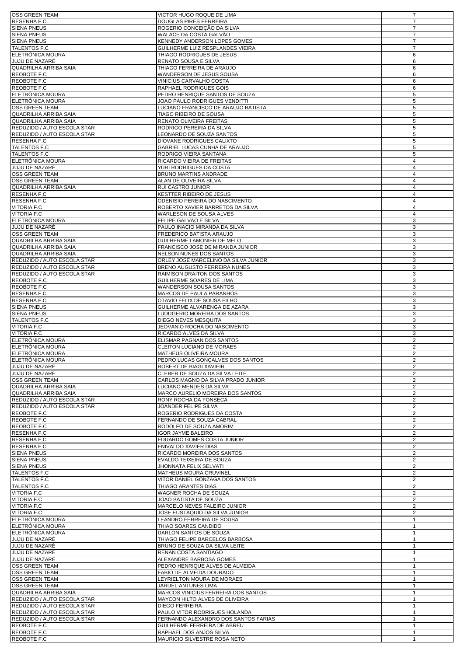| <b>OSS GREEN TEAM</b>                | VICTOR HUGO ROQUE DE LIMA                                       | $\overline{7}$               |
|--------------------------------------|-----------------------------------------------------------------|------------------------------|
| <b>RESENHA F.C</b>                   | <b>DOUGLAS PIRES FERREIRA</b>                                   | $\overline{7}$               |
| <b>SIENA PNEUS</b>                   | ROGERIO CONCEIÇÃO DA SILVA                                      | 7                            |
| <b>SIENA PNEUS</b>                   | WALACE DA COSTA GALVÃO                                          | $\overline{7}$               |
|                                      |                                                                 | $\overline{7}$               |
| <b>SIENA PNEUS</b>                   | KENNEDY ANDERSON LOPES GOMES                                    | $\overline{7}$               |
| <b>TALENTOS F.C</b>                  | GUILHERME LUIZ RESPLANDES VIEIRA                                | 6                            |
| ELETRÖNICA MOURA<br>JUJU DE NAZARÉ   | THIAGO RODRIGUES DE JESUS                                       |                              |
|                                      | RENATO SOUSA E SILVA                                            | 6                            |
| QUADRILHA ARRIBA SAIA                | THIAGO FERREIRA DE ARAUJO                                       | 6                            |
| REOBOTE F.C                          | WANDERSON DE JESUS SOUSA                                        | 6                            |
| REOBOTE F.C                          | VINICIUS CARVALHO COSTA                                         | 6                            |
| REOBOTE F.C                          | RAPHAEL RODRIGUES GOIS                                          | 6                            |
| ELETRÔNICA MOURA                     | PEDRO HENRIQUE SANTOS DE SOUZA                                  | 5                            |
| ELETRÖNICA MOURA                     | JOAO PAULO RODRIGUES VENDITTI                                   | $\,$ 5 $\,$                  |
| <b>OSS GREEN TEAM</b>                | LUCIANO FRANCISCO DE ARAUJO BATISTA                             | 5                            |
| QUADRILHA ARRIBA SAIA                | TIAGO RIBEIRO DE SOUSA                                          | 5                            |
| <b>QUADRILHA ARRIBA SAIA</b>         | RENATO OLIVEIRA FREITAS                                         | 5                            |
| REDUZIDO / AUTO ESCOLA STAR          | RODRIGO PEREIRA DA SILVA                                        | 5                            |
| REDUZIDO / AUTO ESCOLA STAR          | LEONARDO DE SOUZA SANTOS                                        | 5                            |
| <b>RESENHA F.C</b>                   | DIOVANE RODRIGUES CALIXTO                                       | 5                            |
| <b>TALENTOS F.C</b>                  | GABRIEL LUCAS CUNHA DE ARAUJO                                   | 5                            |
| <b>TALENTOS F.C</b>                  | RODRIGO VIEIRA SANTANA                                          | 5                            |
| ELETRÔNICA MOURA                     | RICARDO VIEIRA DE FREITAS                                       | $\overline{4}$               |
| JUJU DE NAZARÉ                       | YURI RODRIGUES DA COSTA                                         | $\overline{4}$               |
| <b>OSS GREEN TEAM</b>                | BRUNO MARTINS ANDRADE                                           | 4                            |
| <b>OSS GREEN TEAM</b>                | ALAN DE OLIVEIRA SILVA                                          | $\overline{4}$               |
| <b>QUADRILHA ARRIBA SAIA</b>         | RUI CASTRO JUNIOR                                               | $\overline{4}$               |
| RESENHA F.C                          | <b>KESTTER RIBEIRO DE JESUS</b>                                 | 4                            |
| RESENHA F.C                          | ODENISIO PEREIRA DO NASCIMENTO                                  | 4                            |
| <b>VITORIA F.C</b>                   | ROBERTO XAVIER BARRETOS DA SILVA                                | $\overline{4}$               |
| <b>VITORIA F.C</b>                   | WARLESON DE SOUSA ALVES                                         | $\overline{4}$               |
| ELETRÔNICA MOURA                     | FELIPE GALVÃO E SILVA                                           | 3                            |
| JUJU DE NAZARÉ                       | PAULO INACIO MIRANDA DA SILVA                                   | $\mathbf{3}$                 |
| <b>OSS GREEN TEAM</b>                | FREDERICO BATISTA ARAUJO                                        | 3                            |
| QUADRILHA ARRIBA SAIA                | GUILHERME LAMONIER DE MELO                                      | 3                            |
| QUADRILHA ARRIBA SAIA                | FRANCISCO JOSE DE MIRANDA JUNIOR                                | 3                            |
| <b>QUADRILHA ARRIBA SAIA</b>         | NELSON NUNES DOS SANTOS                                         | 3                            |
| REDUZIDO / AUTO ESCOLA STAR          | ORLEY JOSE MARCELINO DA SILVA JUNIOR                            | 3                            |
| REDUZIDO / AUTO ESCOLA STAR          | <b>BRENO AUGUSTO FERREIRA NUNES</b>                             | 3                            |
| REDUZIDO / AUTO ESCOLA STAR          | RAIMISON DRAITON DOS SANTOS                                     | 3                            |
| REOBOTE F.C                          | GUILHERME SOARES DE LIMA                                        | 3                            |
| REOBOTE F.C                          | WANDERSON SOUSA SANTOS                                          | 3                            |
| <b>RESENHA F.C</b>                   | MARCOS DE PAULA PARANHOS                                        | 3                            |
| <b>RESENHA F.C</b>                   | OTAVIO FELIX DE SOUSA FILHO                                     | $\mathbf{3}$                 |
| <b>SIENA PNEUS</b>                   | GUILHERME ALVARENGA DE AZARA                                    | 3                            |
| <b>SIENA PNEUS</b>                   | LUDUGERIO MOREIRA DOS SANTOS                                    | 3                            |
| TALENTOS F.C                         | DIEGO NEVES MESQUITA                                            | 3                            |
| <b>VITORIA F.C</b>                   | JEOVANIO ROCHA DO NASCIMENTO                                    | 3                            |
| <b>VITORIA F.C</b>                   | RICARDO ALVES DA SILVA                                          | 3                            |
| ELETRÔNICA MOURA                     | ELISMAR PAGNAN DOS SANTOS                                       | $\overline{2}$               |
| ELETRÖNICA MOURA                     | CLEITON LUCIANO DE MORAES                                       | 2                            |
| ELETRÔNICA MOURA                     | MATHEUS OLIVEIRA MOURA                                          | 2                            |
| ELETRONICA MOURA                     | PEDRO LUCAS GONÇALVES DOS SANTOS                                | 2                            |
| JUJU DE NAZARE                       | ROBERT DE BIAGI XAVIEIR                                         | 2                            |
| JUJU DE NAZARÉ                       | CLEBER DE SOUZA DA SILVA LEITE                                  | $\overline{c}$               |
| <b>OSS GREEN TEAM</b>                | CARLOS MAGNO DA SILVA PRADO JUNIOR                              | $\overline{c}$               |
| QUADRILHA ARRIBA SAIA                | LUCIANO MENDES DA SILVA                                         | 2                            |
| QUADRILHA ARRIBA SAIA                | MARCO AURELIO MOREIRA DOS SANTOS                                | $\overline{2}$               |
| REDUZIDO / AUTO ESCOLA STAR          | RONY ROCHA DA FONSECA                                           | 2                            |
| REDUZIDO / AUTO ESCOLA STAR          | JOANDER FELIPE SILVA                                            | 2                            |
| REOBOTE F.C                          | ROGERIO RODRIGUES DA COSTA                                      | $\overline{2}$               |
| REOBOTE F.C                          | FERNANDO DE SOUZA CABRAL                                        | 2                            |
| REOBOTE F.C                          | RODOLFO DE SOUZA AMORIM                                         | $\overline{2}$               |
| <b>RESENHAF.C</b>                    | <b>IGOR JAYME BALEIRO</b>                                       | 2                            |
| <b>RESENHA F.C</b>                   | EDUARDO GOMES COSTA JUNIOR                                      | 2                            |
| <b>RESENHA F.C</b>                   | ENIVALDO XAVIER DIAS                                            | $\overline{2}$               |
| <b>SIENA PNEUS</b>                   | RICARDO MOREIRA DOS SANTOS                                      | 2                            |
| <b>SIENA PNEUS</b>                   | EVALDO TEIXEIRA DE SOUZA                                        | $\overline{2}$               |
| <b>SIENA PNEUS</b>                   | JHONNATA FELIX SELVATI                                          | 2                            |
| <b>TALENTOS F.C</b>                  | <b>MATHEUS MOURA CRUVINEL</b>                                   | $\overline{2}$               |
| <b>TALENTOS F.C</b>                  | VITOR DANIEL GONZAGA DOS SANTOS                                 | $\overline{2}$               |
| <b>TALENTOS F.C</b>                  | THIAGO ARANTES DIAS                                             | 2                            |
| <b>VITORIA F.C</b>                   | WAGNER ROCHA DE SOUZA                                           | $\overline{c}$               |
| <b>VITORIA F.C</b>                   | JOAO BATISTA DE SOUZA                                           | $\overline{2}$               |
| <b>VITORIA F.C</b>                   | MARCELO NEVES FALEIRO JUNIOR                                    | $\overline{\mathbf{c}}$      |
| <b>VITORIA F.C</b>                   | JOSE EUSTAQUIO DA SILVA JUNIOR                                  | 2                            |
| ELETRÖNICA MOURA                     | LEANDRO FERREIRA DE SOUSA                                       | $\mathbf{1}$                 |
| ELETRÖNICA MOURA<br>ELETRÔNICA MOURA | THIAO SOARES CANDIDO<br>DARLON SANTOS DE SOUZA                  | $\mathbf{1}$                 |
| JUJU DE NAZARE                       |                                                                 | $\mathbf{1}$<br>$\mathbf{1}$ |
| JUJU DE NAZARÉ                       | THIAGO FELIPE BARCELOS BARBOSA<br>BRUNO DE SOUZA DA SILVA LEITE | $\mathbf{1}$                 |
| JUJU DE NAZARÉ                       | RENAN COSTA SANTIAGO                                            | $\mathbf{1}$                 |
| JUJU DE NAZARÉ                       | ALEXANDRE BARBOSA GOMES                                         | $\mathbf{1}$                 |
| <b>OSS GREEN TEAM</b>                | PEDRO HENRIQUE ALVES DE ALMEIDA                                 | $\mathbf{1}$                 |
| <b>OSS GREEN TEAM</b>                | FABIO DE ALMEIDA DOURADO                                        | $\mathbf{1}$                 |
| OSS GREEN TEAM                       | LEYRIELTON MOURA DE MORAES                                      | $\mathbf{1}$                 |
| OSS GREEN TEAM                       | JARDEL ANTUNES LIMA                                             | $\mathbf{1}$                 |
| QUADRILHA ARRIBA SAIA                | MARCOS VINICIUS FERREIRA DOS SANTOS                             | $\mathbf{1}$                 |
| REDUZIDO / AUTO ESCOLA STAR          | MAYCON HILTO ALVES DE OLIVEIRA                                  | $\mathbf{1}$                 |
| REDUZIDO / AUTO ESCOLA STAR          | <b>DIEGO FERREIRA</b>                                           | $\mathbf{1}$                 |
| REDUZIDO / AUTO ESCOLA STAR          | PAULO VITOR RODRIGUES HOLANDA                                   | $\mathbf{1}$                 |
| REDUZIDO / AUTO ESCOLA STAR          | FERNANDO ALEXANDRO DOS SANTOS FARIAS                            | $\mathbf{1}$                 |
| REOBOTE F.C                          | GUILHERME FERREIRA DE ABREU                                     | 1                            |
| REOBOTE F.C                          | RAPHAEL DOS ANJOS SILVA                                         | $\mathbf{1}$                 |
| REOBOTE F.C                          | MAURICIO SILVESTRE ROSA NETO                                    | $\mathbf{1}$                 |